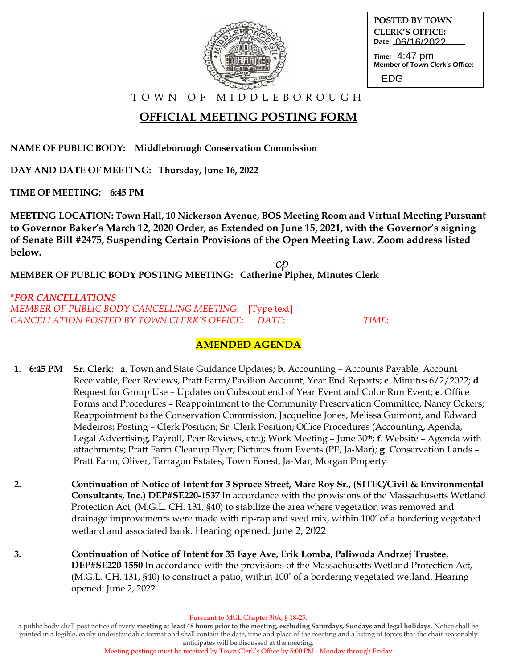

| <b>POSTED BY TOWN</b>  |
|------------------------|
| <b>CLERK'S OFFICE:</b> |
| Date: 06/16/2022       |
|                        |

Time: 4:47 pm Member of Town Clerk's Office:

EDG

T O W N O F M I D D L E B O R O U G H

## **OFFICIAL MEETING POSTING FORM**

**NAME OF PUBLIC BODY: Middleborough Conservation Commission**

**DAY AND DATE OF MEETING: Thursday, June 16, 2022**

**TIME OF MEETING: 6:45 PM**

**MEETING LOCATION: Town Hall, 10 Nickerson Avenue, BOS Meeting Room and Virtual Meeting Pursuant to Governor Baker's March 12, 2020 Order, as Extended on June 15, 2021, with the Governor's signing of Senate Bill #2475, Suspending Certain Provisions of the Open Meeting Law. Zoom address listed below.**

 ${\it c}$ p **MEMBER OF PUBLIC BODY POSTING MEETING: Catherine Pipher, Minutes Clerk**

**\****FOR CANCELLATIONS MEMBER OF PUBLIC BODY CANCELLING MEETING*: [Type text] *CANCELLATION POSTED BY TOWN CLERK'S OFFICE*: *DATE*: *TIME*:

### **AMENDED AGENDA**

- **1. 6:45 PM Sr. Clerk**: **a.** Town and State Guidance Updates; **b.** Accounting Accounts Payable, Account Receivable, Peer Reviews, Pratt Farm/Pavilion Account, Year End Reports; **c**. Minutes 6/2/2022; **d**. Request for Group Use – Updates on Cubscout end of Year Event and Color Run Event; **e**. Office Forms and Procedures – Reappointment to the Community Preservation Committee, Nancy Ockers; Reappointment to the Conservation Commission, Jacqueline Jones, Melissa Guimont, and Edward Medeiros; Posting – Clerk Position; Sr. Clerk Position; Office Procedures (Accounting, Agenda, Legal Advertising, Payroll, Peer Reviews, etc.); Work Meeting – June 30th; **f**. Website – Agenda with attachments; Pratt Farm Cleanup Flyer; Pictures from Events (PF, Ja-Mar); **g**. Conservation Lands – Pratt Farm, Oliver, Tarragon Estates, Town Forest, Ja-Mar, Morgan Property
- **2. Continuation of Notice of Intent for 3 Spruce Street, Marc Roy Sr., (SITEC/Civil & Environmental Consultants, Inc.) DEP#SE220-1537** In accordance with the provisions of the Massachusetts Wetland Protection Act, (M.G.L. CH. 131, §40) to stabilize the area where vegetation was removed and drainage improvements were made with rip-rap and seed mix, within 100' of a bordering vegetated wetland and associated bank. Hearing opened: June 2, 2022
- **3. Continuation of Notice of Intent for 35 Faye Ave, Erik Lomba, Paliwoda Andrzej Trustee, DEP#SE220-1550** In accordance with the provisions of the Massachusetts Wetland Protection Act, (M.G.L. CH. 131, §40) to construct a patio, within 100' of a bordering vegetated wetland. Hearing opened: June 2, 2022

Pursuant to MGL Chapter 30A, § 18-25,

a public body shall post notice of every **meeting at least 48 hours prior to the meeting, excluding Saturdays, Sundays and legal holidays.** Notice shall be printed in a legible, easily understandable format and shall contain the date, time and place of the meeting and a listing of topics that the chair reasonably anticipates will be discussed at the meeting.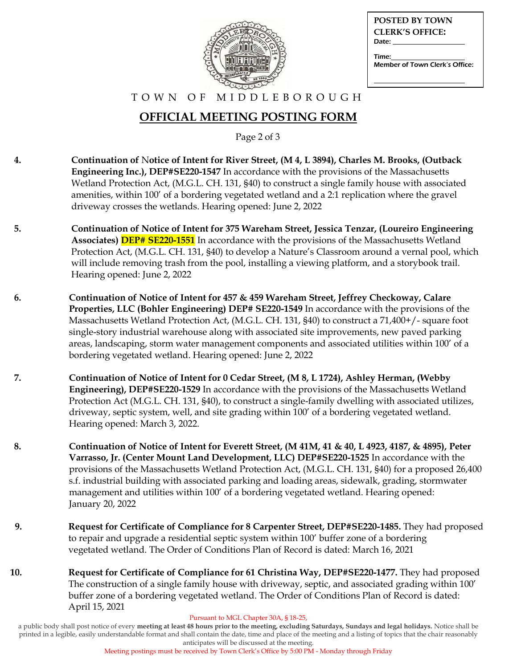

| <b>POSTED BY TOWN</b>          |
|--------------------------------|
| <b>CLERK'S OFFICE:</b>         |
| Date:                          |
| Time:                          |
| Member of Town Clerk's Office: |

#### T O W N O F M I D D L E B O R O U G H

### **OFFICIAL MEETING POSTING FORM**

Page 2 of 3

- **4. Continuation of** N**otice of Intent for River Street, (M 4, L 3894), Charles M. Brooks, (Outback Engineering Inc.), DEP#SE220-1547** In accordance with the provisions of the Massachusetts Wetland Protection Act, (M.G.L. CH. 131, §40) to construct a single family house with associated amenities, within 100' of a bordering vegetated wetland and a 2:1 replication where the gravel driveway crosses the wetlands. Hearing opened: June 2, 2022
- **5. Continuation of Notice of Intent for 375 Wareham Street, Jessica Tenzar, (Loureiro Engineering Associates) DEP# SE220-1551** In accordance with the provisions of the Massachusetts Wetland Protection Act, (M.G.L. CH. 131, §40) to develop a Nature's Classroom around a vernal pool, which will include removing trash from the pool, installing a viewing platform, and a storybook trail. Hearing opened: June 2, 2022
- **6. Continuation of Notice of Intent for 457 & 459 Wareham Street, Jeffrey Checkoway, Calare Properties, LLC (Bohler Engineering) DEP# SE220-1549** In accordance with the provisions of the Massachusetts Wetland Protection Act, (M.G.L. CH. 131, §40) to construct a 71,400+/- square foot single-story industrial warehouse along with associated site improvements, new paved parking areas, landscaping, storm water management components and associated utilities within 100' of a bordering vegetated wetland. Hearing opened: June 2, 2022
- **7. Continuation of Notice of Intent for 0 Cedar Street, (M 8, L 1724), Ashley Herman, (Webby Engineering), DEP#SE220-1529** In accordance with the provisions of the Massachusetts Wetland Protection Act (M.G.L. CH. 131, §40), to construct a single-family dwelling with associated utilizes, driveway, septic system, well, and site grading within 100' of a bordering vegetated wetland. Hearing opened: March 3, 2022.
- **8. Continuation of Notice of Intent for Everett Street, (M 41M, 41 & 40, L 4923, 4187, & 4895), Peter Varrasso, Jr. (Center Mount Land Development, LLC) DEP#SE220-1525** In accordance with the provisions of the Massachusetts Wetland Protection Act, (M.G.L. CH. 131, §40) for a proposed 26,400 s.f. industrial building with associated parking and loading areas, sidewalk, grading, stormwater management and utilities within 100' of a bordering vegetated wetland. Hearing opened: January 20, 2022
- **9. Request for Certificate of Compliance for 8 Carpenter Street, DEP#SE220-1485.** They had proposed to repair and upgrade a residential septic system within 100' buffer zone of a bordering vegetated wetland. The Order of Conditions Plan of Record is dated: March 16, 2021
- **10. Request for Certificate of Compliance for 61 Christina Way, DEP#SE220-1477.** They had proposed The construction of a single family house with driveway, septic, and associated grading within 100' buffer zone of a bordering vegetated wetland. The Order of Conditions Plan of Record is dated: April 15, 2021

Pursuant to MGL Chapter 30A, § 18-25,

a public body shall post notice of every **meeting at least 48 hours prior to the meeting, excluding Saturdays, Sundays and legal holidays.** Notice shall be printed in a legible, easily understandable format and shall contain the date, time and place of the meeting and a listing of topics that the chair reasonably anticipates will be discussed at the meeting.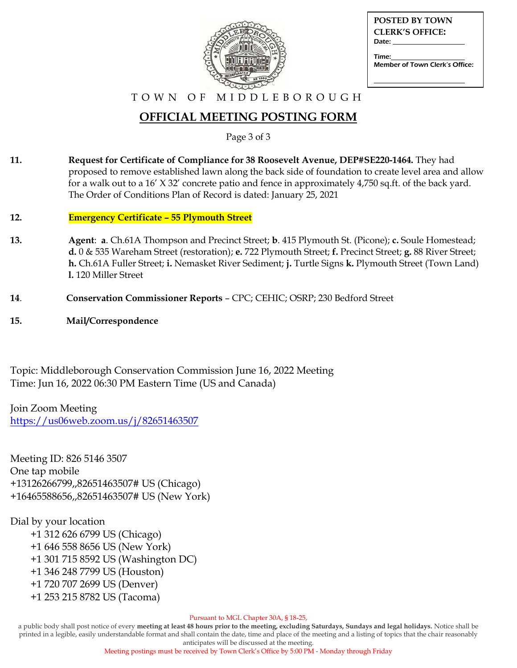

| <b>POSTED BY TOWN</b><br><b>CLERK'S OFFICE:</b><br>Date: |
|----------------------------------------------------------|
|                                                          |
| Time:<br>Member of Town Clerk's Office:                  |

#### T O W N O F M I D D L E B O R O U G H

### **OFFICIAL MEETING POSTING FORM**

Page 3 of 3

- **11. Request for Certificate of Compliance for 38 Roosevelt Avenue, DEP#SE220-1464.** They had proposed to remove established lawn along the back side of foundation to create level area and allow for a walk out to a 16' X 32' concrete patio and fence in approximately 4,750 sq.ft. of the back yard. The Order of Conditions Plan of Record is dated: January 25, 2021
- **12. Emergency Certificate – 55 Plymouth Street**
- **13. Agent**: **a**. Ch.61A Thompson and Precinct Street; **b**. 415 Plymouth St. (Picone); **c.** Soule Homestead; **d.** 0 & 535 Wareham Street (restoration); **e.** 722 Plymouth Street; **f.** Precinct Street; **g.** 88 River Street; **h.** Ch.61A Fuller Street; **i.** Nemasket River Sediment; **j.** Turtle Signs **k.** Plymouth Street (Town Land) **l.** 120 Miller Street
- **14**. **Conservation Commissioner Reports** CPC; CEHIC; OSRP; 230 Bedford Street
- **15. Mail/Correspondence**

Topic: Middleborough Conservation Commission June 16, 2022 Meeting Time: Jun 16, 2022 06:30 PM Eastern Time (US and Canada)

Join Zoom Meeting <https://us06web.zoom.us/j/82651463507>

Meeting ID: 826 5146 3507 One tap mobile +13126266799,,82651463507# US (Chicago) +16465588656,,82651463507# US (New York)

#### Dial by your location

 +1 312 626 6799 US (Chicago) +1 646 558 8656 US (New York) +1 301 715 8592 US (Washington DC) +1 346 248 7799 US (Houston) +1 720 707 2699 US (Denver) +1 253 215 8782 US (Tacoma)

Pursuant to MGL Chapter 30A, § 18-25,

a public body shall post notice of every **meeting at least 48 hours prior to the meeting, excluding Saturdays, Sundays and legal holidays.** Notice shall be printed in a legible, easily understandable format and shall contain the date, time and place of the meeting and a listing of topics that the chair reasonably anticipates will be discussed at the meeting.